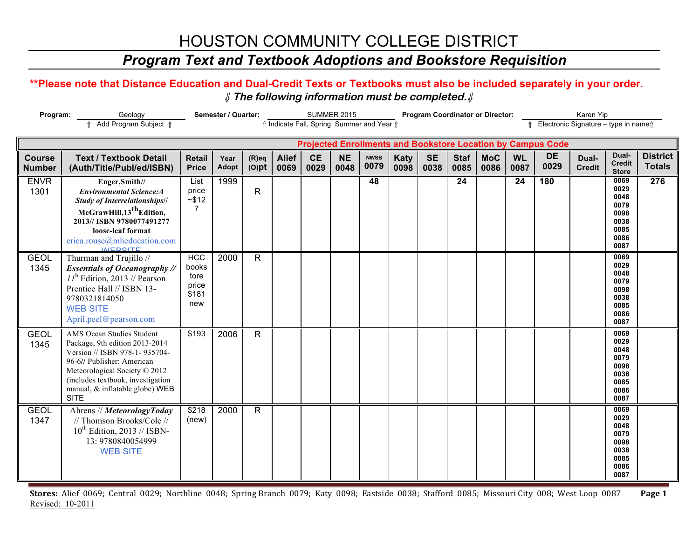# HOUSTON COMMUNITY COLLEGE DISTRICT

### *Program Text and Textbook Adoptions and Bookstore Requisition*

### **\*\*Please note that Distance Education and Dual-Credit Texts or Textbooks must also be included separately in your order.**  ⇓ **The following information must be completed.**⇓

| Program:                       | Geology                                                                                                                                                                                                                                            |                                                      | Semester / Quarter:  |                      |                                            |                   | <b>SUMMER 2015</b> |                     | <b>Program Coordinator or Director:</b> |                   | Karen Yip           |                    |                   |                                                                    |                                     |                                                                      |                                  |
|--------------------------------|----------------------------------------------------------------------------------------------------------------------------------------------------------------------------------------------------------------------------------------------------|------------------------------------------------------|----------------------|----------------------|--------------------------------------------|-------------------|--------------------|---------------------|-----------------------------------------|-------------------|---------------------|--------------------|-------------------|--------------------------------------------------------------------|-------------------------------------|----------------------------------------------------------------------|----------------------------------|
|                                | ↑ Add Program Subject ↑                                                                                                                                                                                                                            |                                                      |                      |                      | ↑ Indicate Fall, Spring, Summer and Year ↑ |                   |                    |                     |                                         |                   |                     |                    |                   |                                                                    | Electronic Signature - type in name |                                                                      |                                  |
|                                |                                                                                                                                                                                                                                                    |                                                      |                      |                      |                                            |                   |                    |                     |                                         |                   |                     |                    |                   | <b>Projected Enrollments and Bookstore Location by Campus Code</b> |                                     |                                                                      |                                  |
| <b>Course</b><br><b>Number</b> | <b>Text / Textbook Detail</b><br>(Auth/Title/Publ/ed/ISBN)                                                                                                                                                                                         | <b>Retail</b><br><b>Price</b>                        | Year<br><b>Adopt</b> | $(R)$ eq<br>$(O)$ pt | <b>Alief</b><br>0069                       | <b>CE</b><br>0029 | <b>NE</b><br>0048  | <b>NWSB</b><br>0079 | <b>Katy</b><br>0098                     | <b>SE</b><br>0038 | <b>Staf</b><br>0085 | <b>MoC</b><br>0086 | <b>WL</b><br>0087 | <b>DE</b><br>0029                                                  | Dual-<br><b>Credit</b>              | Dual-<br><b>Credit</b><br><b>Store</b>                               | <b>District</b><br><b>Totals</b> |
| <b>ENVR</b><br>1301            | Enger, Smith//<br><b>Environmental Science:A</b><br><b>Study of Interrelationships//</b><br>McGrawHill, 13 <sup>th</sup> Edition,<br>2013// ISBN 9780077491277<br>loose-leaf format<br>erica.rouse@mheducation.com<br><b>MERSITE</b>               | List<br>price<br>~512<br>7                           | 1999                 | $\mathsf{R}$         |                                            |                   |                    | 48                  |                                         |                   | 24                  |                    | 24                | 180                                                                |                                     | 0069<br>0029<br>0048<br>0079<br>0098<br>0038<br>0085<br>0086<br>0087 | 276                              |
| <b>GEOL</b><br>1345            | Thurman and Trujillo //<br><b>Essentials of Oceanography //</b><br>$II^{\text{h}}$ Edition, 2013 // Pearson<br>Prentice Hall // ISBN 13-<br>9780321814050<br><b>WEB SITE</b><br>April.peel@pearson.com                                             | <b>HCC</b><br>books<br>tore<br>price<br>\$181<br>new | 2000                 | R                    |                                            |                   |                    |                     |                                         |                   |                     |                    |                   |                                                                    |                                     | 0069<br>0029<br>0048<br>0079<br>0098<br>0038<br>0085<br>0086<br>0087 |                                  |
| <b>GEOL</b><br>1345            | AMS Ocean Studies Student<br>Package, 9th edition 2013-2014<br>Version // ISBN 978-1-935704-<br>96-6// Publisher: American<br>Meteorological Society © 2012<br>(includes textbook, investigation<br>manual, & inflatable globe) WEB<br><b>SITE</b> | \$193                                                | 2006                 | $\mathsf{R}$         |                                            |                   |                    |                     |                                         |                   |                     |                    |                   |                                                                    |                                     | 0069<br>0029<br>0048<br>0079<br>0098<br>0038<br>0085<br>0086<br>0087 |                                  |
| <b>GEOL</b><br>1347            | Ahrens // MeteorologyToday<br>// Thomson Brooks/Cole //<br>$10^{th}$ Edition, 2013 // ISBN-<br>13: 9780840054999<br><b>WEB SITE</b>                                                                                                                | \$218<br>(new)                                       | 2000                 | R                    |                                            |                   |                    |                     |                                         |                   |                     |                    |                   |                                                                    |                                     | 0069<br>0029<br>0048<br>0079<br>0098<br>0038<br>0085<br>0086<br>0087 |                                  |

Stores: Alief 0069; Central 0029; Northline 0048; Spring Branch 0079; Katy 0098; Eastside 0038; Stafford 0085; Missouri City 008; West Loop 0087 Page 1 Revised: 10-2011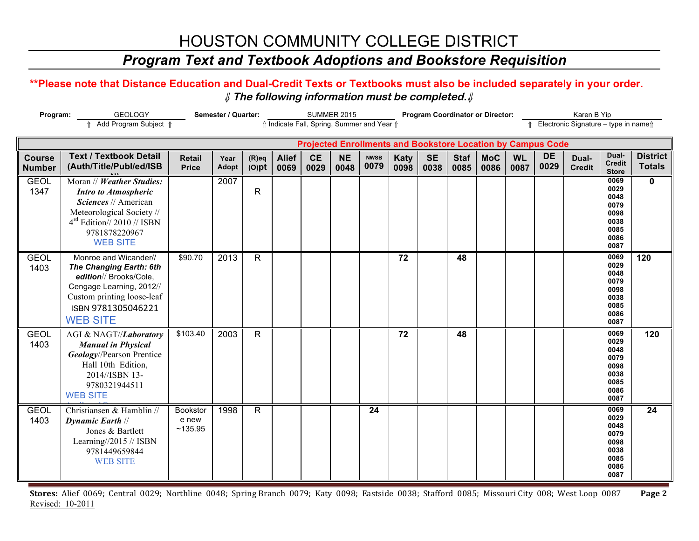# HOUSTON COMMUNITY COLLEGE DISTRICT

## *Program Text and Textbook Adoptions and Bookstore Requisition*

### **\*\*Please note that Distance Education and Dual-Credit Texts or Textbooks must also be included separately in your order.**  ⇓ **The following information must be completed.**⇓

| Program:                       | <b>GEOLOGY</b>                                                                                                                                                                    | Semester / Quarter:           | <b>SUMMER 2015</b> |                      |                                            |                   |                   | <b>Program Coordinator or Director:</b> |                     |                   | Karen B Yip         |                    |                   |                                                                    |                                     |                                                                      |                                  |
|--------------------------------|-----------------------------------------------------------------------------------------------------------------------------------------------------------------------------------|-------------------------------|--------------------|----------------------|--------------------------------------------|-------------------|-------------------|-----------------------------------------|---------------------|-------------------|---------------------|--------------------|-------------------|--------------------------------------------------------------------|-------------------------------------|----------------------------------------------------------------------|----------------------------------|
|                                | Add Program Subject 1                                                                                                                                                             |                               |                    |                      | ↑ Indicate Fall, Spring, Summer and Year ↑ |                   |                   |                                         |                     |                   |                     |                    |                   |                                                                    | Electronic Signature - type in name |                                                                      |                                  |
|                                |                                                                                                                                                                                   |                               |                    |                      |                                            |                   |                   |                                         |                     |                   |                     |                    |                   | <b>Projected Enrollments and Bookstore Location by Campus Code</b> |                                     |                                                                      |                                  |
| <b>Course</b><br><b>Number</b> | <b>Text / Textbook Detail</b><br>(Auth/Title/Publ/ed/ISB                                                                                                                          | <b>Retail</b><br><b>Price</b> | Year<br>Adopt      | $(R)$ eq<br>$(O)$ pt | <b>Alief</b><br>0069                       | <b>CE</b><br>0029 | <b>NE</b><br>0048 | <b>NWSB</b><br>0079                     | <b>Katy</b><br>0098 | <b>SE</b><br>0038 | <b>Staf</b><br>0085 | <b>MoC</b><br>0086 | <b>WL</b><br>0087 | <b>DE</b><br>0029                                                  | Dual-<br><b>Credit</b>              | Dual-<br><b>Credit</b><br><b>Store</b>                               | <b>District</b><br><b>Totals</b> |
| <b>GEOL</b><br>1347            | Moran // Weather Studies:<br><b>Intro to Atmospheric</b><br>Sciences // American<br>Meteorological Society //<br>$4rd$ Edition// 2010 // ISBN<br>9781878220967<br><b>WEB SITE</b> |                               | 2007               | $\mathsf{R}$         |                                            |                   |                   |                                         |                     |                   |                     |                    |                   |                                                                    |                                     | 0069<br>0029<br>0048<br>0079<br>0098<br>0038<br>0085<br>0086<br>0087 | $\mathbf{0}$                     |
| <b>GEOL</b><br>1403            | Monroe and Wicander//<br>The Changing Earth: 6th<br>edition// Brooks/Cole,<br>Cengage Learning, 2012//<br>Custom printing loose-leaf<br>ISBN 9781305046221<br><b>WEB SITE</b>     | \$90.70                       | 2013               | R.                   |                                            |                   |                   |                                         | 72                  |                   | 48                  |                    |                   |                                                                    |                                     | 0069<br>0029<br>0048<br>0079<br>0098<br>0038<br>0085<br>0086<br>0087 | 120                              |
| <b>GEOL</b><br>1403            | AGI & NAGT//Laboratory<br><b>Manual in Physical</b><br>Geology//Pearson Prentice<br>Hall 10th Edition,<br>2014//ISBN 13-<br>9780321944511<br><b>WEB SITE</b>                      | \$103.40                      | 2003               | $\mathsf{R}$         |                                            |                   |                   |                                         | $\overline{72}$     |                   | 48                  |                    |                   |                                                                    |                                     | 0069<br>0029<br>0048<br>0079<br>0098<br>0038<br>0085<br>0086<br>0087 | $\frac{1}{120}$                  |
| <b>GEOL</b><br>1403            | Christiansen & Hamblin //<br><b>Dynamic Earth //</b><br>Jones & Bartlett<br>Learning//2015 // ISBN<br>9781449659844<br><b>WEB SITE</b>                                            | Bookstor<br>e new<br>~135.95  | 1998               | R.                   |                                            |                   |                   | 24                                      |                     |                   |                     |                    |                   |                                                                    |                                     | 0069<br>0029<br>0048<br>0079<br>0098<br>0038<br>0085<br>0086<br>0087 | 24                               |

Stores: Alief 0069; Central 0029; Northline 0048; Spring Branch 0079; Katy 0098; Eastside 0038; Stafford 0085; Missouri City 008; West Loop 0087 Page 2 Revised: 10-2011